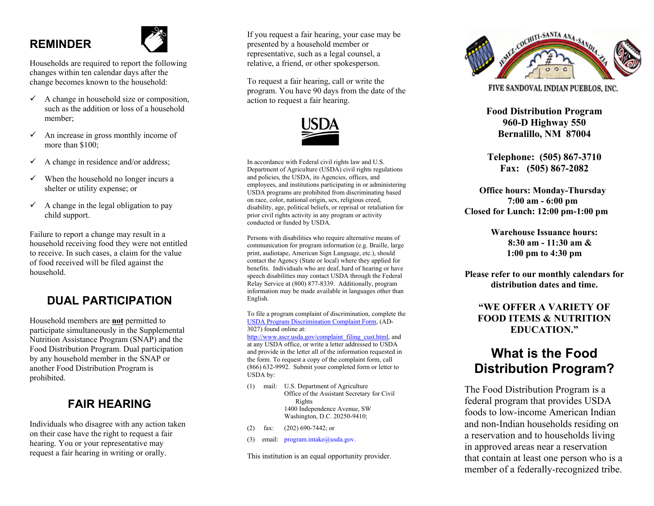## **REMINDER**



Households are required to report the following changes within ten calendar days after the change becomes known to the household:

- $\checkmark$  A change in household size or composition, such as the addition or loss of a household member;
- $\checkmark$  An increase in gross monthly income of more than \$100;
- $\checkmark$  A change in residence and/or address;
- $\checkmark$  When the household no longer incurs a shelter or utility expense; or
- $\checkmark$  A change in the legal obligation to pay child support.

Failure to report a change may result in a household receiving food they were not entitled to receive. In such cases, a claim for the value of food received will be filed against the household.

## **DUAL PARTICIPATION**

Household members are **not** permitted to participate simultaneously in the Supplemental Nutrition Assistance Program (SNAP) and the Food Distribution Program. Dual participation by any household member in the SNAP or another Food Distribution Program is prohibited.

### **FAIR HEARING**

Individuals who disagree with any action taken on their case have the right to request a fair hearing. You or your representative may request a fair hearing in writing or orally.

If you request a fair hearing, your case may be presented by a household member or representative, such as a legal counsel, a relative, a friend, or other spokesperson.

To request a fair hearing, call or write the program. You have 90 days from the date of the action to request a fair hearing.



In accordance with Federal civil rights law and U.S. Department of Agriculture (USDA) civil rights regulations and policies, the USDA, its Agencies, offices, and employees, and institutions participating in or administering USDA programs are prohibited from discriminating based on race, color, national origin, sex, religious creed, disability, age, political beliefs, or reprisal or retaliation for prior civil rights activity in any program or activity conducted or funded by USDA.

Persons with disabilities who require alternative means of communication for program information (e.g. Braille, large print, audiotape, American Sign Language, etc.), should contact the Agency (State or local) where they applied for benefits. Individuals who are deaf, hard of hearing or have speech disabilities may contact USDA through the Federal Relay Service at (800) 877-8339. Additionally, program information may be made available in languages other than English.

To file a program complaint of discrimination, complete the USDA Program [Discrimination](http://www.ocio.usda.gov/sites/default/files/docs/2012/Complain_combined_6_8_12.pdf) Complaint Form, (AD-3027) found online at:

[http://www.ascr.usda.gov/complaint\\_filing\\_cust.html](http://www.ascr.usda.gov/complaint_filing_cust.html), and at any USDA office, or write a letter addressed to USDA and provide in the letter all of the information requested in the form. To request a copy of the complaint form, call (866) 632-9992. Submit your completed form or letter to USDA by:

- (1) mail: U.S. Department of Agriculture Office of the Assistant Secretary for Civil Rights 1400 Independence Avenue, SW Washington, D.C. 20250-9410;
- (2) fax: (202) 690-7442; or
- (3) email: program.intake@usda.gov.

This institution is an equal opportunity provider.



FIVE SANDOVAL INDIAN PUEBLOS, INC.

**Food Distribution Program 960-D Highway 550 Bernalillo, NM 87004**

**Telephone: (505) 867-3710 Fax: (505) 867-2082**

 **Office hours: Monday-Thursday 7:00 am - 6:00 pm Closed for Lunch: 12:00 pm-1:00 pm**

> **Warehouse Issuance hours: 8:30 am - 11:30 am & 1:00 pm to 4:30 pm**

**Please refer to our monthly calendars for distribution dates and time.**

#### **"WE OFFER A VARIETY OF FOOD ITEMS & NUTRITION EDUCATION."**

## **What is the Food Distribution Program?**

The Food Distribution Program is a federal program that provides USDA foods to low-income American Indian and non-Indian households residing on a reservation and to households living in approved areas near a reservation that contain at least one person who is a member of a federally-recognized tribe.